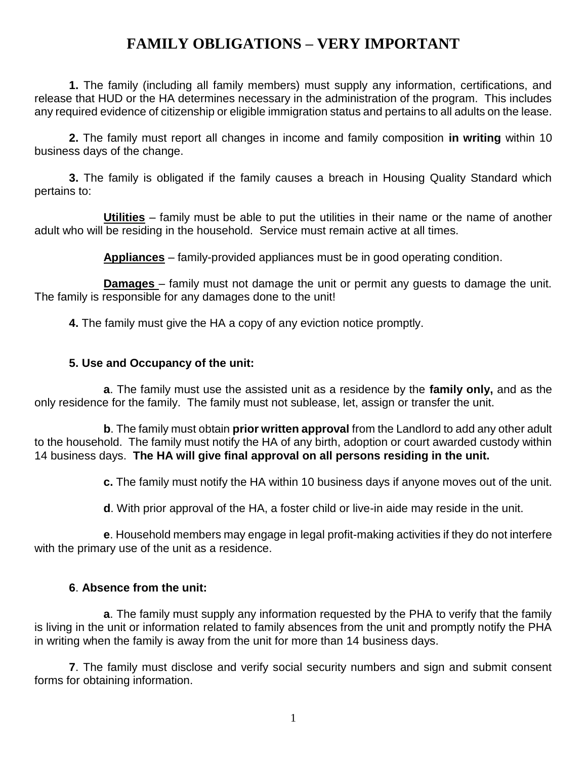## **FAMILY OBLIGATIONS – VERY IMPORTANT**

**1.** The family (including all family members) must supply any information, certifications, and release that HUD or the HA determines necessary in the administration of the program. This includes any required evidence of citizenship or eligible immigration status and pertains to all adults on the lease.

**2.** The family must report all changes in income and family composition **in writing** within 10 business days of the change.

**3.** The family is obligated if the family causes a breach in Housing Quality Standard which pertains to:

**Utilities** – family must be able to put the utilities in their name or the name of another adult who will be residing in the household. Service must remain active at all times.

**Appliances** – family-provided appliances must be in good operating condition.

**Damages** – family must not damage the unit or permit any guests to damage the unit. The family is responsible for any damages done to the unit!

**4.** The family must give the HA a copy of any eviction notice promptly.

## **5. Use and Occupancy of the unit:**

**a**. The family must use the assisted unit as a residence by the **family only,** and as the only residence for the family. The family must not sublease, let, assign or transfer the unit.

**b**. The family must obtain **prior written approval** from the Landlord to add any other adult to the household. The family must notify the HA of any birth, adoption or court awarded custody within 14 business days. **The HA will give final approval on all persons residing in the unit.**

**c.** The family must notify the HA within 10 business days if anyone moves out of the unit.

**d**. With prior approval of the HA, a foster child or live-in aide may reside in the unit.

**e**. Household members may engage in legal profit-making activities if they do not interfere with the primary use of the unit as a residence.

## **6**. **Absence from the unit:**

**a**. The family must supply any information requested by the PHA to verify that the family is living in the unit or information related to family absences from the unit and promptly notify the PHA in writing when the family is away from the unit for more than 14 business days.

**7**. The family must disclose and verify social security numbers and sign and submit consent forms for obtaining information.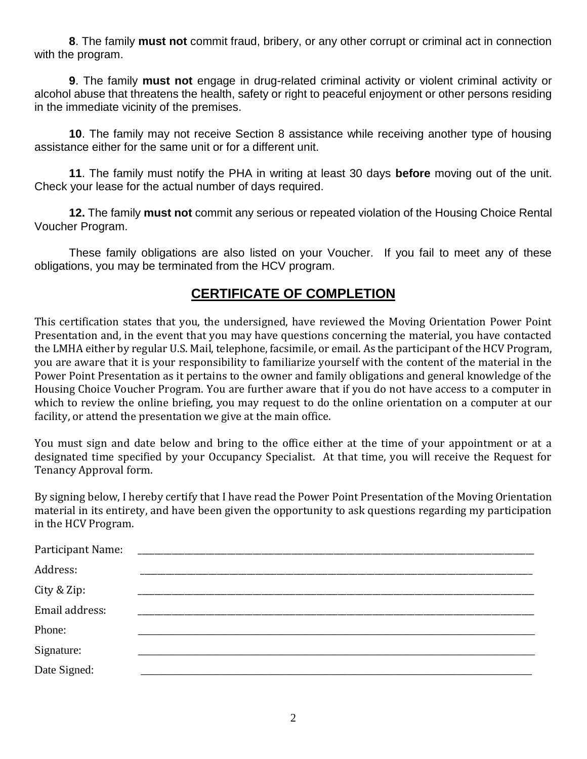**8**. The family **must not** commit fraud, bribery, or any other corrupt or criminal act in connection with the program.

**9**. The family **must not** engage in drug-related criminal activity or violent criminal activity or alcohol abuse that threatens the health, safety or right to peaceful enjoyment or other persons residing in the immediate vicinity of the premises.

**10**. The family may not receive Section 8 assistance while receiving another type of housing assistance either for the same unit or for a different unit.

**11**. The family must notify the PHA in writing at least 30 days **before** moving out of the unit. Check your lease for the actual number of days required.

**12.** The family **must not** commit any serious or repeated violation of the Housing Choice Rental Voucher Program.

These family obligations are also listed on your Voucher. If you fail to meet any of these obligations, you may be terminated from the HCV program.

## **CERTIFICATE OF COMPLETION**

This certification states that you, the undersigned, have reviewed the Moving Orientation Power Point Presentation and, in the event that you may have questions concerning the material, you have contacted the LMHA either by regular U.S. Mail, telephone, facsimile, or email. As the participant of the HCV Program, you are aware that it is your responsibility to familiarize yourself with the content of the material in the Power Point Presentation as it pertains to the owner and family obligations and general knowledge of the Housing Choice Voucher Program. You are further aware that if you do not have access to a computer in which to review the online briefing, you may request to do the online orientation on a computer at our facility, or attend the presentation we give at the main office.

You must sign and date below and bring to the office either at the time of your appointment or at a designated time specified by your Occupancy Specialist. At that time, you will receive the Request for Tenancy Approval form.

By signing below, I hereby certify that I have read the Power Point Presentation of the Moving Orientation material in its entirety, and have been given the opportunity to ask questions regarding my participation in the HCV Program.

| Participant Name: |  |
|-------------------|--|
| Address:          |  |
| City & Zip:       |  |
| Email address:    |  |
| Phone:            |  |
| Signature:        |  |
| Date Signed:      |  |